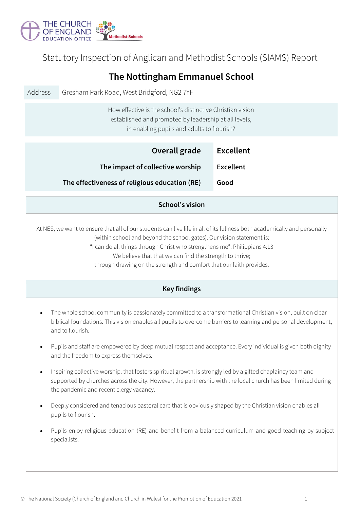

## Statutory Inspection of Anglican and Methodist Schools (SIAMS) Report

| The Nottingham Emmanuel School                                                                                                                                                                                                                                                                                                                                                                                     |                                                                                                                                                                                                                                                                          |                  |  |  |  |  |  |
|--------------------------------------------------------------------------------------------------------------------------------------------------------------------------------------------------------------------------------------------------------------------------------------------------------------------------------------------------------------------------------------------------------------------|--------------------------------------------------------------------------------------------------------------------------------------------------------------------------------------------------------------------------------------------------------------------------|------------------|--|--|--|--|--|
| Address                                                                                                                                                                                                                                                                                                                                                                                                            | Gresham Park Road, West Bridgford, NG2 7YF                                                                                                                                                                                                                               |                  |  |  |  |  |  |
|                                                                                                                                                                                                                                                                                                                                                                                                                    | How effective is the school's distinctive Christian vision<br>established and promoted by leadership at all levels,<br>in enabling pupils and adults to flourish?                                                                                                        |                  |  |  |  |  |  |
|                                                                                                                                                                                                                                                                                                                                                                                                                    | Overall grade                                                                                                                                                                                                                                                            | <b>Excellent</b> |  |  |  |  |  |
|                                                                                                                                                                                                                                                                                                                                                                                                                    | The impact of collective worship                                                                                                                                                                                                                                         | <b>Excellent</b> |  |  |  |  |  |
|                                                                                                                                                                                                                                                                                                                                                                                                                    | The effectiveness of religious education (RE)                                                                                                                                                                                                                            | Good             |  |  |  |  |  |
| <b>School's vision</b>                                                                                                                                                                                                                                                                                                                                                                                             |                                                                                                                                                                                                                                                                          |                  |  |  |  |  |  |
| At NES, we want to ensure that all of our students can live life in all of its fullness both academically and personally<br>(within school and beyond the school gates). Our vision statement is:<br>"I can do all things through Christ who strengthens me". Philippians 4:13<br>We believe that that we can find the strength to thrive;<br>through drawing on the strength and comfort that our faith provides. |                                                                                                                                                                                                                                                                          |                  |  |  |  |  |  |
| <b>Key findings</b>                                                                                                                                                                                                                                                                                                                                                                                                |                                                                                                                                                                                                                                                                          |                  |  |  |  |  |  |
|                                                                                                                                                                                                                                                                                                                                                                                                                    | The whole school community is passionately committed to a transformational Christian vision, built on clear<br>biblical foundations. This vision enables all pupils to overcome barriers to learning and personal development,<br>and to flourish.                       |                  |  |  |  |  |  |
| ٠                                                                                                                                                                                                                                                                                                                                                                                                                  | Pupils and staff are empowered by deep mutual respect and acceptance. Every individual is given both dignity<br>and the freedom to express themselves.                                                                                                                   |                  |  |  |  |  |  |
| $\bullet$                                                                                                                                                                                                                                                                                                                                                                                                          | Inspiring collective worship, that fosters spiritual growth, is strongly led by a gifted chaplaincy team and<br>supported by churches across the city. However, the partnership with the local church has been limited during<br>the pandemic and recent clergy vacancy. |                  |  |  |  |  |  |
|                                                                                                                                                                                                                                                                                                                                                                                                                    | Deeply considered and tenacious pastoral care that is obviously shaped by the Christian vision enables all<br>pupils to flourish.                                                                                                                                        |                  |  |  |  |  |  |
|                                                                                                                                                                                                                                                                                                                                                                                                                    | Pupils enjoy religious education (RE) and benefit from a balanced curriculum and good teaching by subject<br>specialists.                                                                                                                                                |                  |  |  |  |  |  |
|                                                                                                                                                                                                                                                                                                                                                                                                                    |                                                                                                                                                                                                                                                                          |                  |  |  |  |  |  |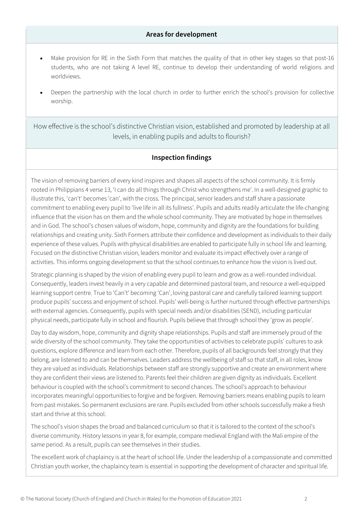## **Areas for development**

- Make provision for RE in the Sixth Form that matches the quality of that in other key stages so that post-16 students, who are not taking A level RE, continue to develop their understanding of world religions and worldviews.
- Deepen the partnership with the local church in order to further enrich the school's provision for collective worship.

How effective is the school's distinctive Christian vision, established and promoted by leadership at all levels, in enabling pupils and adults to flourish?

## **Inspection findings**

The vision of removing barriers of every kind inspires and shapes all aspects of the school community. It is firmly rooted in Philippians 4 verse 13, 'I can do all things through Christ who strengthens me'. In a well-designed graphic to illustrate this, 'can't' becomes 'can', with the cross. The principal, senior leaders and staff share a passionate commitment to enabling every pupil to 'live life in all its fullness'. Pupils and adults readily articulate the life-changing influence that the vision has on them and the whole school community. They are motivated by hope in themselves and in God. The school's chosen values of wisdom, hope, community and dignity are the foundations for building relationships and creating unity. Sixth Formers attribute their confidence and development as individuals to their daily experience of these values. Pupils with physical disabilities are enabled to participate fully in school life and learning. Focused on the distinctive Christian vision, leaders monitor and evaluate its impact effectively over a range of activities. This informs ongoing development so that the school continues to enhance how the vision is lived out.

Strategic planning is shaped by the vision of enabling every pupil to learn and grow as a well-rounded individual. Consequently, leaders invest heavily in a very capable and determined pastoral team, and resource a well-equipped learning support centre. True to 'Can't' becoming 'Can', loving pastoral care and carefully tailored learning support produce pupils' success and enjoyment of school. Pupils' well-being is further nurtured through effective partnerships with external agencies. Consequently, pupils with special needs and/or disabilities (SEND), including particular physical needs, participate fully in school and flourish. Pupils believe that through school they 'grow as people'.

Day to day wisdom, hope, community and dignity shape relationships. Pupils and staff are immensely proud of the wide diversity of the school community. They take the opportunities of activities to celebrate pupils' cultures to ask questions, explore difference and learn from each other. Therefore, pupils of all backgrounds feel strongly that they belong, are listened to and can be themselves. Leaders address the wellbeing of staff so that staff, in all roles, know they are valued as individuals. Relationships between staff are strongly supportive and create an environment where they are confident their views are listened to. Parents feel their children are given dignity as individuals. Excellent behaviour is coupled with the school's commitment to second chances. The school's approach to behaviour incorporates meaningful opportunities to forgive and be forgiven. Removing barriers means enabling pupils to learn from past mistakes. So permanent exclusions are rare. Pupils excluded from other schools successfully make a fresh start and thrive at this school.

The school's vision shapes the broad and balanced curriculum so that it is tailored to the context of the school's diverse community. History lessons in year 8, for example, compare medieval England with the Mali empire of the same period. As a result, pupils can see themselves in their studies.

The excellent work of chaplaincy is at the heart of school life. Under the leadership of a compassionate and committed Christian youth worker, the chaplaincy team is essential in supporting the development of character and spiritual life.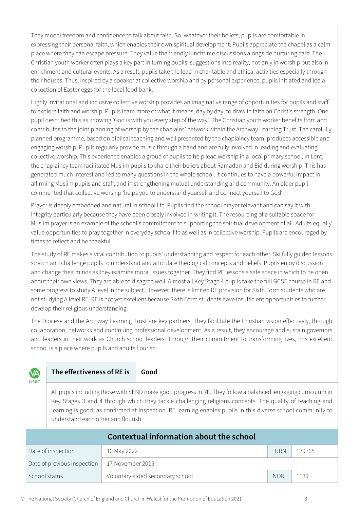They model freedom and confidence to talk about faith. So, whatever their beliefs, pupils are comfortable in expressing their personal faith, which enables their own spiritual development. Pupils appreciate the chapel as a calm place where they can escape pressure. They value the friendly lunchtime discussions alongside nurturing care. The Christian youth worker often plays a key part in turning pupils' suggestions into reality, not only in worship but also in enrichment and cultural events. As a result, pupils take the lead in charitable and ethical activities especially through their houses. Thus, inspired by a speaker at collective worship and by personal experience, pupils initiated and led a collection of Easter eggs for the local food bank.

Highly invitational and inclusive collective worship provides an imaginative range of opportunities for pupils and staff to explore faith and worship. Pupils learn more of what it means, day by day, to draw in faith on Christ's strength. One pupil described this as knowing 'God is with you every step of the way'. The Christian youth worker benefits from and contributes to the joint planning of worship by the chaplains' network within the Archway Learning Trust. The carefully planned programme, based on biblical teaching and well presented by the chaplaincy team, produces accessible and engaging worship. Pupils regularly provide music through a band and are fully involved in leading and evaluating collective worship. This experience enables a group of pupils to help lead worship in a local primary school. In Lent, the chaplaincy team facilitated Muslim pupils to share their beliefs about Ramadan and Eid during worship. This has generated much interest and led to many questions in the whole school. It continues to have a powerful impact in affirming Muslim pupils and staff, and in strengthening mutual understanding and community. An older pupil commented that collective worship 'helps you to understand yourself and connect yourself to God'.

Prayer is deeply embedded and natural in school life. Pupils find the school prayer relevant and can say it with integrity particularly because they have been closely involved in writing it. The resourcing of a suitable space for Muslim prayer is an example of the school's commitment to supporting the spiritual development of all. Adults equally value opportunities to pray together in everyday school life as well as in collective worship. Pupils are encouraged by times to reflect and be thankful.

The study of RE makes a vital contribution to pupils' understanding and respect for each other. Skilfully guided lessons stretch and challenge pupils to understand and articulate theological concepts and beliefs. Pupils enjoy discussion and change their minds as they examine moral issues together. They find RE lessons a safe space in which to be open about their own views. They are able to disagree well. Almost all Key Stage 4 pupils take the full GCSE course in RE and some progress to study A level in the subject. However, there is limited RE provision for Sixth Form students who are not studying A level RE. RE is not yet excellent because Sixth Form students have insufficient opportunities to further develop their religious understanding.

The Diocese and the Archway Learning Trust are key partners. They facilitate the Christian vision effectively, through collaboration, networks and continuing professional development. As a result, they encourage and sustain governors and leaders in their work as Church school leaders. Through their commitment to transforming lives, this excellent school is a place where pupils and adults flourish.

| <b>VA</b><br><b>ONLY</b>                | The effectiveness of RE is                                                                                                                                                                                                                                                                                                                                                       |                  | Good                             |            |        |  |  |  |
|-----------------------------------------|----------------------------------------------------------------------------------------------------------------------------------------------------------------------------------------------------------------------------------------------------------------------------------------------------------------------------------------------------------------------------------|------------------|----------------------------------|------------|--------|--|--|--|
|                                         | All pupils including those with SEND make good progress in RE. They follow a balanced, engaging curriculum in<br>Key Stages 3 and 4 through which they tackle challenging religious concepts. The quality of teaching and<br>learning is good, as confirmed at inspection. RE learning enables pupils in this diverse school community to<br>understand each other and flourish. |                  |                                  |            |        |  |  |  |
| Contextual information about the school |                                                                                                                                                                                                                                                                                                                                                                                  |                  |                                  |            |        |  |  |  |
| Date of inspection                      |                                                                                                                                                                                                                                                                                                                                                                                  | 10 May 2022      |                                  | <b>URN</b> | 139765 |  |  |  |
| Date of previous inspection             |                                                                                                                                                                                                                                                                                                                                                                                  | 17 November 2015 |                                  |            |        |  |  |  |
| School status                           |                                                                                                                                                                                                                                                                                                                                                                                  |                  | Voluntary aided secondary school | <b>NOR</b> | 1139   |  |  |  |